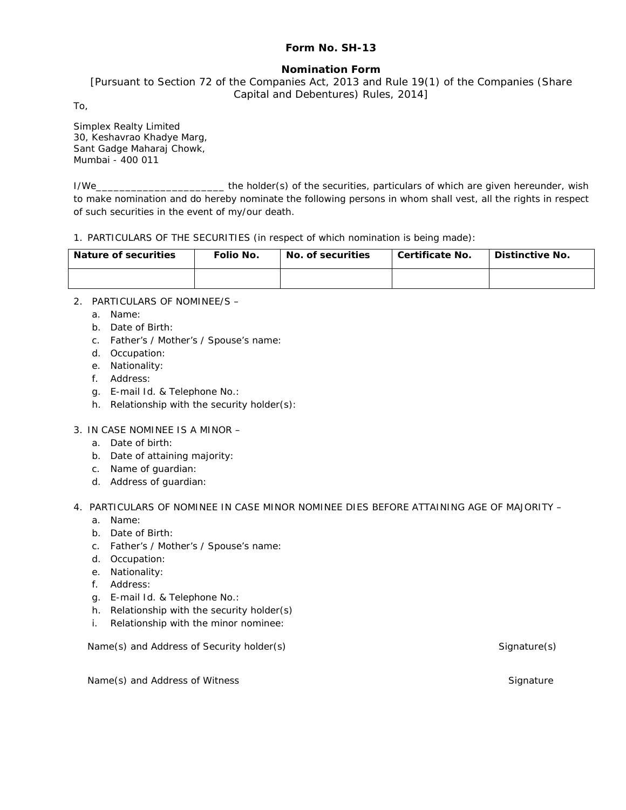# **Form No. SH-13**

# **Nomination Form**

[Pursuant to Section 72 of the Companies Act, 2013 and Rule 19(1) of the Companies (Share Capital and Debentures) Rules, 2014]

To,

Simplex Realty Limited 30, Keshavrao Khadye Marg, Sant Gadge Maharaj Chowk, Mumbai - 400 011

I/We\_\_\_\_\_\_\_\_\_\_\_\_\_\_\_\_\_\_\_\_\_\_ the holder(s) of the securities, particulars of which are given hereunder, wish to make nomination and do hereby nominate the following persons in whom shall vest, all the rights in respect of such securities in the event of my/our death.

1. PARTICULARS OF THE SECURITIES (in respect of which nomination is being made):

| Nature of securities | Folio No. | No. of securities | Certificate No. | Distinctive No. |
|----------------------|-----------|-------------------|-----------------|-----------------|
|                      |           |                   |                 |                 |

- 2. PARTICULARS OF NOMINEE/S
	- a. Name:
	- b. Date of Birth:
	- c. Father's / Mother's / Spouse's name:
	- d. Occupation:
	- e. Nationality:
	- f. Address:
	- g. E-mail Id. & Telephone No.:
	- h. Relationship with the security holder(s):
- 3. IN CASE NOMINEE IS A MINOR
	- a. Date of birth:
	- b. Date of attaining majority:
	- c. Name of guardian:
	- d. Address of guardian:
- 4. PARTICULARS OF NOMINEE IN CASE MINOR NOMINEE DIES BEFORE ATTAINING AGE OF MAJORITY
	- a. Name:
	- b. Date of Birth:
	- c. Father's / Mother's / Spouse's name:
	- d. Occupation:
	- e. Nationality:
	- f. Address:
	- g. E-mail Id. & Telephone No.:
	- h. Relationship with the security holder(s)
	- i. Relationship with the minor nominee:

Name(s) and Address of Security holder(s) Signature(s) Signature(s) Signature(s)

Name(s) and Address of Witness School and Address Signature Signature Signature Signature Signature